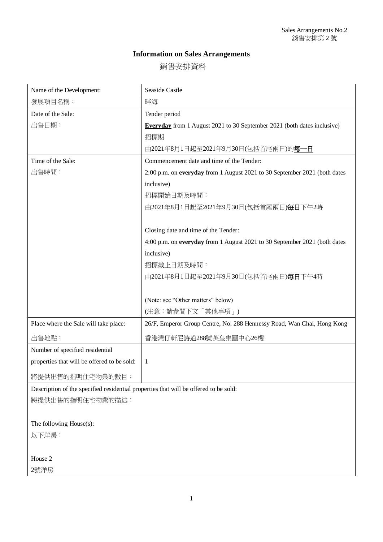## **Information on Sales Arrangements**

銷售安排資料

| Name of the Development:                                                             | <b>Seaside Castle</b>                                                          |
|--------------------------------------------------------------------------------------|--------------------------------------------------------------------------------|
| 發展項目名稱:                                                                              | 畔海                                                                             |
| Date of the Sale:                                                                    | Tender period                                                                  |
| 出售日期:                                                                                | <b>Everyday</b> from 1 August 2021 to 30 September 2021 (both dates inclusive) |
|                                                                                      | 招標期                                                                            |
|                                                                                      | 由2021年8月1日起至2021年9月30日(包括首尾兩日)的每一日                                             |
| Time of the Sale:                                                                    | Commencement date and time of the Tender:                                      |
| 出售時間:                                                                                | 2:00 p.m. on everyday from 1 August 2021 to 30 September 2021 (both dates      |
|                                                                                      | inclusive)                                                                     |
|                                                                                      | 招標開始日期及時間:                                                                     |
|                                                                                      | 由2021年8月1日起至2021年9月30日(包括首尾兩日)每日下午2時                                           |
|                                                                                      |                                                                                |
|                                                                                      | Closing date and time of the Tender:                                           |
|                                                                                      | 4:00 p.m. on everyday from 1 August 2021 to 30 September 2021 (both dates      |
|                                                                                      | inclusive)                                                                     |
|                                                                                      | 招標截止日期及時間:                                                                     |
|                                                                                      | 由2021年8月1日起至2021年9月30日(包括首尾兩日)每日下午4時                                           |
|                                                                                      |                                                                                |
|                                                                                      | (Note: see "Other matters" below)                                              |
|                                                                                      | (注意:請參閲下文「其他事項」)                                                               |
| Place where the Sale will take place:                                                | 26/F, Emperor Group Centre, No. 288 Hennessy Road, Wan Chai, Hong Kong         |
| 出售地點:                                                                                | 香港灣仔軒尼詩道288號英皇集團中心26樓                                                          |
| Number of specified residential                                                      |                                                                                |
| properties that will be offered to be sold:                                          | 1                                                                              |
| 將提供出售的指明住宅物業的數目:                                                                     |                                                                                |
| Description of the specified residential properties that will be offered to be sold: |                                                                                |
| 將提供出售的指明住宅物業的描述:                                                                     |                                                                                |

The following House(s):

以下洋房:

House 2

2號洋房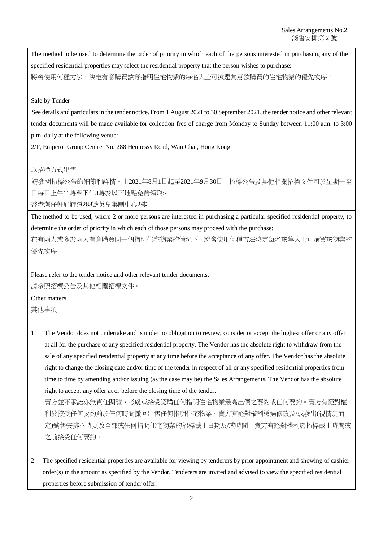The method to be used to determine the order of priority in which each of the persons interested in purchasing any of the specified residential properties may select the residential property that the person wishes to purchase: 將會使用何種方法,決定有意購買該等指明住宅物業的每名人士可揀選其意欲購買的住宅物業的優先次序:

## Sale by Tender

See details and particulars in the tender notice. From 1 August 2021 to 30 September 2021, the tender notice and other relevant tender documents will be made available for collection free of charge from Monday to Sunday between 11:00 a.m. to 3:00 p.m. daily at the following venue:-

2/F, Emperor Group Centre, No. 288 Hennessy Road, Wan Chai, Hong Kong

## 以招標方式出售

請參閱招標公告的細節和詳情。由2021年8月1日起至2021年9月30日,招標公告及其他相關招標文件可於星期一至 日每日上午11時至下午3時於以下地點免費領取:-

香港灣仔軒尼詩道288號英皇集團中心2樓

The method to be used, where 2 or more persons are interested in purchasing a particular specified residential property, to determine the order of priority in which each of those persons may proceed with the purchase:

在有兩人或多於兩人有意購買同一個指明住宅物業的情況下,將會使用何種方法決定每名該等人士可購買該物業的 優先次序:

Please refer to the tender notice and other relevant tender documents. 請參照招標公告及其他相關招標文件。

Other matters

其他事項

1. The Vendor does not undertake and is under no obligation to review, consider or accept the highest offer or any offer at all for the purchase of any specified residential property. The Vendor has the absolute right to withdraw from the sale of any specified residential property at any time before the acceptance of any offer. The Vendor has the absolute right to change the closing date and/or time of the tender in respect of all or any specified residential properties from time to time by amending and/or issuing (as the case may be) the Sales Arrangements. The Vendor has the absolute right to accept any offer at or before the closing time of the tender.

賣方並不承諾亦無責任閱覽、考慮或接受認購任何指明住宅物業最高出價之要約或任何要約。賣方有絕對權 利於接受任何要約前於任何時間撤回出售任何指明住宅物業。賣方有絕對權利透過修改及/或發出(視情況而 定)銷售安排不時更改全部或任何指明住宅物業的招標截止日期及/或時間。賣方有絕對權利於招標截止時間或 之前接受任何要約。

2. The specified residential properties are available for viewing by tenderers by prior appointment and showing of cashier order(s) in the amount as specified by the Vendor. Tenderers are invited and advised to view the specified residential properties before submission of tender offer.